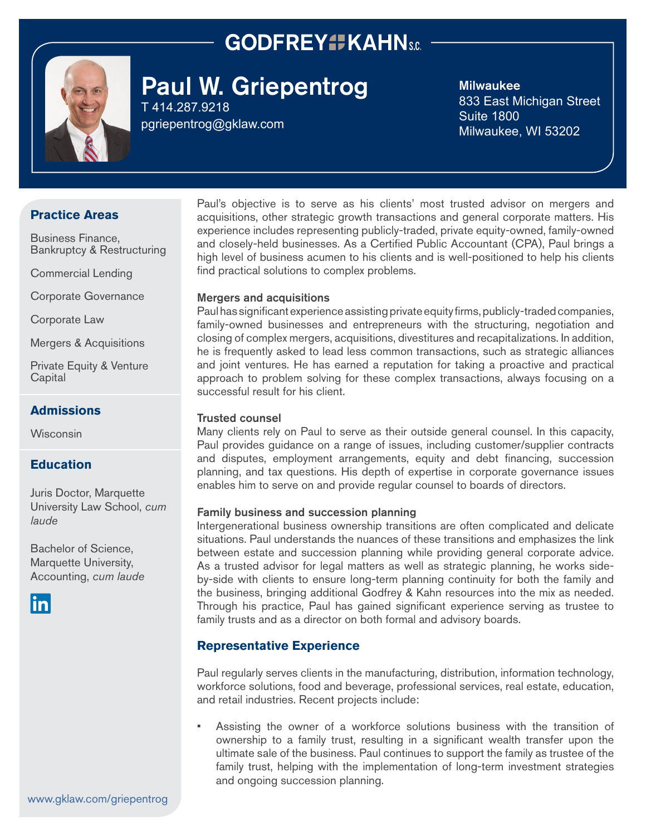## **GODFREY#KAHNs.c.**



# Paul W. Griepentrog

T 414.287.9218 [pgriepentrog@gklaw.com](mailto:pgriepentrog%40gklaw.com?subject=)

#### Milwaukee

833 East Michigan Street Suite 1800 Milwaukee, WI 53202

## **Practice Areas**

Business Finance, Bankruptcy & Restructuring

Commercial Lending

Corporate Governance

Corporate Law

Mergers & Acquisitions

Private Equity & Venture **Capital** 

### **Admissions**

**Wisconsin** 

### **Education**

Juris Doctor, Marquette University Law School, *cum laude* 

Bachelor of Science, Marquette University, Accounting, *cum laude*



Paul's objective is to serve as his clients' most trusted advisor on mergers and acquisitions, other strategic growth transactions and general corporate matters. His experience includes representing publicly-traded, private equity-owned, family-owned and closely-held businesses. As a Certified Public Accountant (CPA), Paul brings a high level of business acumen to his clients and is well-positioned to help his clients find practical solutions to complex problems.

#### Mergers and acquisitions

Paul has significant experience assisting private equity firms, publicly-traded companies, family-owned businesses and entrepreneurs with the structuring, negotiation and closing of complex mergers, acquisitions, divestitures and recapitalizations. In addition, he is frequently asked to lead less common transactions, such as strategic alliances and joint ventures. He has earned a reputation for taking a proactive and practical approach to problem solving for these complex transactions, always focusing on a successful result for his client.

#### Trusted counsel

Many clients rely on Paul to serve as their outside general counsel. In this capacity, Paul provides guidance on a range of issues, including customer/supplier contracts and disputes, employment arrangements, equity and debt financing, succession planning, and tax questions. His depth of expertise in corporate governance issues enables him to serve on and provide regular counsel to boards of directors.

#### Family business and succession planning

Intergenerational business ownership transitions are often complicated and delicate situations. Paul understands the nuances of these transitions and emphasizes the link between estate and succession planning while providing general corporate advice. As a trusted advisor for legal matters as well as strategic planning, he works sideby-side with clients to ensure long-term planning continuity for both the family and the business, bringing additional Godfrey & Kahn resources into the mix as needed. Through his practice, Paul has gained significant experience serving as trustee to family trusts and as a director on both formal and advisory boards.

#### **Representative Experience**

Paul regularly serves clients in the manufacturing, distribution, information technology, workforce solutions, food and beverage, professional services, real estate, education, and retail industries. Recent projects include:

• Assisting the owner of a workforce solutions business with the transition of ownership to a family trust, resulting in a significant wealth transfer upon the ultimate sale of the business. Paul continues to support the family as trustee of the family trust, helping with the implementation of long-term investment strategies and ongoing succession planning.